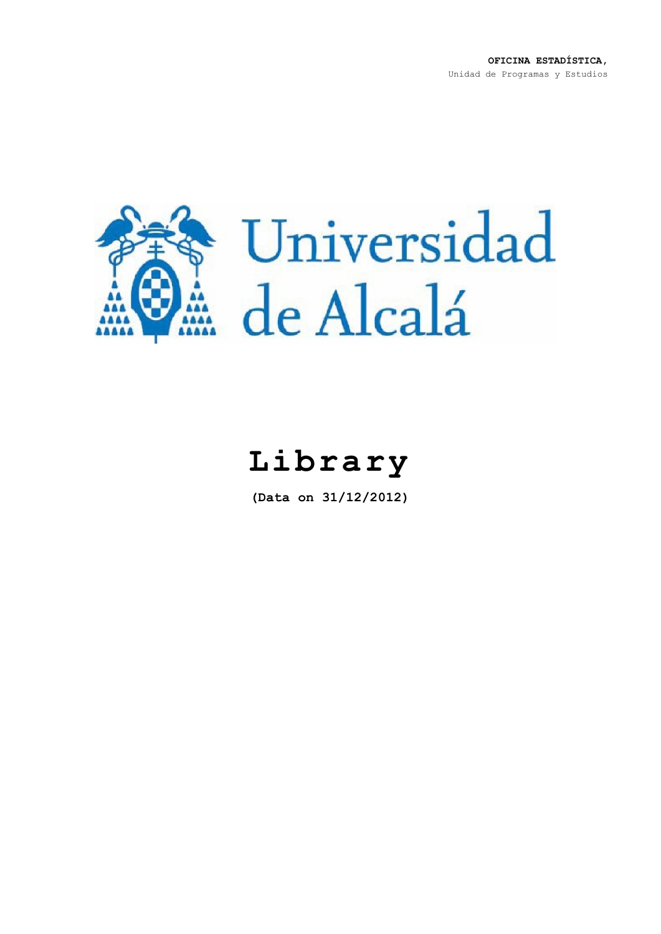**OFICINA ESTADÍSTICA,** Unidad de Programas y Estudios



## **Library**

**(Data on 31/12/2012)**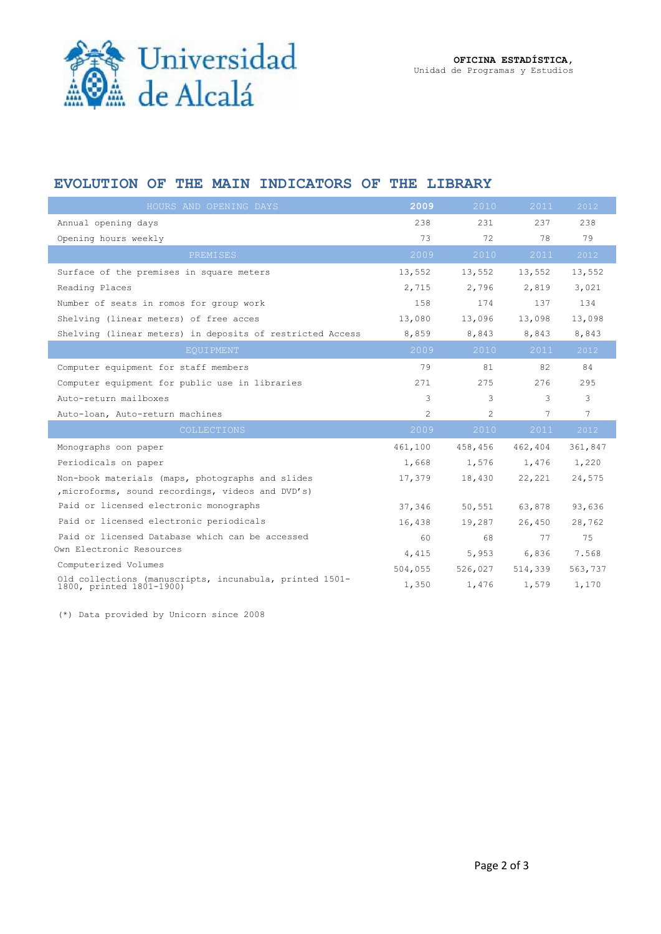

## **EVOLUTION OF THE MAIN INDICATORS OF THE LIBRARY**

| HOURS AND OPENING DAYS                                                              | 2009           | 2010           | 2011    | 2012            |
|-------------------------------------------------------------------------------------|----------------|----------------|---------|-----------------|
| Annual opening days                                                                 | 238            | 231            | 237     | 238             |
| Opening hours weekly                                                                | 73             | 72             | 78      | 79              |
| PREMISES                                                                            | 2009           | 2010           | 2011    | 2012            |
| Surface of the premises in square meters                                            | 13,552         | 13,552         | 13,552  | 13,552          |
| Reading Places                                                                      | 2,715          | 2,796          | 2,819   | 3,021           |
| Number of seats in romos for group work                                             | 158            | 174            | 137     | 134             |
| Shelving (linear meters) of free acces                                              | 13,080         | 13,096         | 13,098  | 13,098          |
| Shelving (linear meters) in deposits of restricted Access                           | 8,859          | 8,843          | 8,843   | 8,843           |
| <b>EOUIPMENT</b>                                                                    | 2009           | 2010           | 2011    | 2012            |
| Computer equipment for staff members                                                | 79             | 81             | 82      | 84              |
| Computer equipment for public use in libraries                                      | 271            | 275            | 276     | 295             |
| Auto-return mailboxes                                                               | 3              | 3              | 3       | 3               |
| Auto-loan, Auto-return machines                                                     | $\overline{c}$ | $\overline{2}$ | 7       | $7\phantom{.0}$ |
| <b>COLLECTIONS</b>                                                                  | 2009           | 2010           | 2011    | 2012            |
| Monographs oon paper                                                                | 461,100        | 458,456        | 462,404 | 361,847         |
| Periodicals on paper                                                                | 1,668          | 1,576          | 1,476   | 1,220           |
| Non-book materials (maps, photographs and slides                                    | 17,379         | 18,430         | 22,221  | 24,575          |
| , microforms, sound recordings, videos and DVD's)                                   |                |                |         |                 |
| Paid or licensed electronic monographs                                              | 37,346         | 50,551         | 63,878  | 93,636          |
| Paid or licensed electronic periodicals                                             | 16,438         | 19,287         | 26,450  | 28,762          |
| Paid or licensed Database which can be accessed                                     | 60             | 68             | 77      | 75              |
| Own Electronic Resources                                                            | 4,415          | 5,953          | 6,836   | 7.568           |
| Computerized Volumes                                                                | 504,055        | 526,027        | 514,339 | 563,737         |
| Old collections (manuscripts, incunabula, printed 1501-<br>1800, printed 1801-1900) | 1,350          | 1,476          | 1,579   | 1,170           |

(\*) Data provided by Unicorn since 2008